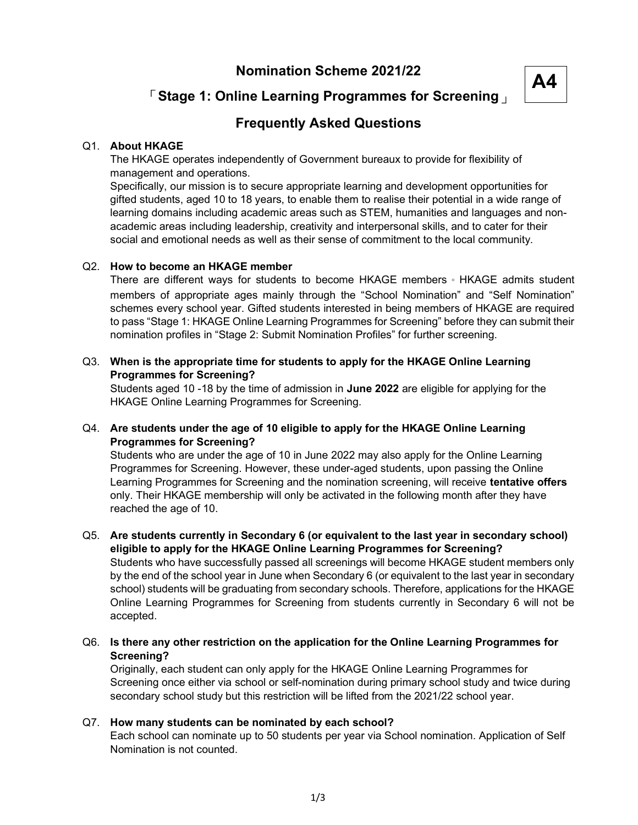### Nomination Scheme 2021/22

# A4

# 「Stage 1: Online Learning Programmes for Screening」

## Frequently Asked Questions

#### Q1. About HKAGE

The HKAGE operates independently of Government bureaux to provide for flexibility of management and operations.

Specifically, our mission is to secure appropriate learning and development opportunities for gifted students, aged 10 to 18 years, to enable them to realise their potential in a wide range of learning domains including academic areas such as STEM, humanities and languages and nonacademic areas including leadership, creativity and interpersonal skills, and to cater for their social and emotional needs as well as their sense of commitment to the local community.

#### Q2. How to become an HKAGE member

There are different ways for students to become HKAGE members。HKAGE admits student members of appropriate ages mainly through the "School Nomination" and "Self Nomination" schemes every school year. Gifted students interested in being members of HKAGE are required to pass "Stage 1: HKAGE Online Learning Programmes for Screening" before they can submit their nomination profiles in "Stage 2: Submit Nomination Profiles" for further screening.

#### Q3. When is the appropriate time for students to apply for the HKAGE Online Learning Programmes for Screening?

Students aged 10 -18 by the time of admission in June 2022 are eligible for applying for the HKAGE Online Learning Programmes for Screening.

#### Q4. Are students under the age of 10 eligible to apply for the HKAGE Online Learning Programmes for Screening?

Students who are under the age of 10 in June 2022 may also apply for the Online Learning Programmes for Screening. However, these under-aged students, upon passing the Online Learning Programmes for Screening and the nomination screening, will receive tentative offers only. Their HKAGE membership will only be activated in the following month after they have reached the age of 10.

#### Q5. Are students currently in Secondary 6 (or equivalent to the last year in secondary school) eligible to apply for the HKAGE Online Learning Programmes for Screening?

Students who have successfully passed all screenings will become HKAGE student members only by the end of the school year in June when Secondary 6 (or equivalent to the last year in secondary school) students will be graduating from secondary schools. Therefore, applications for the HKAGE Online Learning Programmes for Screening from students currently in Secondary 6 will not be accepted.

Q6. Is there any other restriction on the application for the Online Learning Programmes for Screening?

Originally, each student can only apply for the HKAGE Online Learning Programmes for Screening once either via school or self-nomination during primary school study and twice during secondary school study but this restriction will be lifted from the 2021/22 school year.

#### Q7. How many students can be nominated by each school?

Each school can nominate up to 50 students per year via School nomination. Application of Self Nomination is not counted.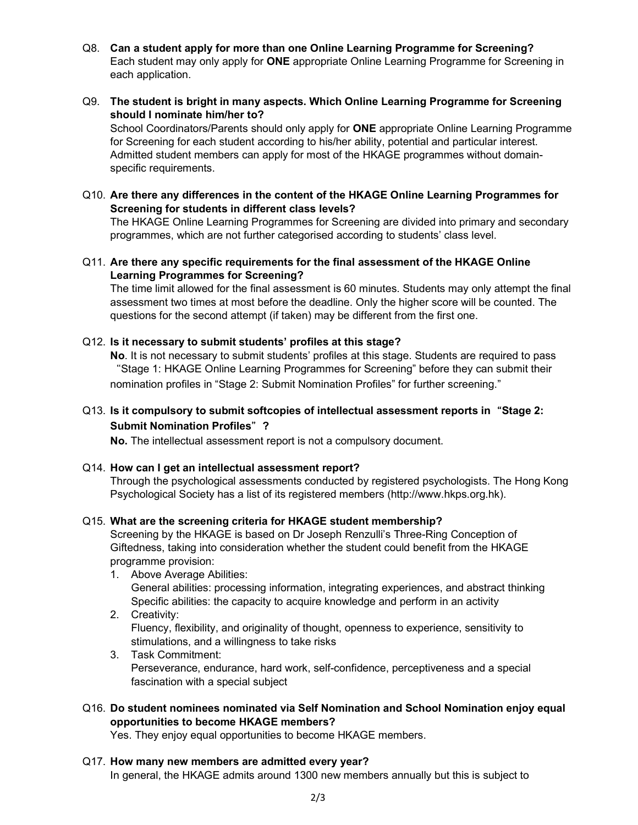- Q8. Can a student apply for more than one Online Learning Programme for Screening? Each student may only apply for ONE appropriate Online Learning Programme for Screening in each application.
- Q9. The student is bright in many aspects. Which Online Learning Programme for Screening should I nominate him/her to? School Coordinators/Parents should only apply for **ONE** appropriate Online Learning Programme for Screening for each student according to his/her ability, potential and particular interest. Admitted student members can apply for most of the HKAGE programmes without domain-
- Q10. Are there any differences in the content of the HKAGE Online Learning Programmes for Screening for students in different class levels?

The HKAGE Online Learning Programmes for Screening are divided into primary and secondary programmes, which are not further categorised according to students' class level.

Q11. Are there any specific requirements for the final assessment of the HKAGE Online Learning Programmes for Screening?

The time limit allowed for the final assessment is 60 minutes. Students may only attempt the final assessment two times at most before the deadline. Only the higher score will be counted. The questions for the second attempt (if taken) may be different from the first one.

#### Q12. Is it necessary to submit students' profiles at this stage?

specific requirements.

No. It is not necessary to submit students' profiles at this stage. Students are required to pass "Stage 1: HKAGE Online Learning Programmes for Screening" before they can submit their nomination profiles in "Stage 2: Submit Nomination Profiles" for further screening."

#### Q13. Is it compulsory to submit softcopies of intellectual assessment reports in "Stage 2: Submit Nomination Profiles" ?

No. The intellectual assessment report is not a compulsory document.

#### Q14. How can I get an intellectual assessment report?

Through the psychological assessments conducted by registered psychologists. The Hong Kong Psychological Society has a list of its registered members (http://www.hkps.org.hk).

#### Q15. What are the screening criteria for HKAGE student membership?

Screening by the HKAGE is based on Dr Joseph Renzulli's Three-Ring Conception of Giftedness, taking into consideration whether the student could benefit from the HKAGE programme provision:

- 1. Above Average Abilities: General abilities: processing information, integrating experiences, and abstract thinking Specific abilities: the capacity to acquire knowledge and perform in an activity
- 2. Creativity: Fluency, flexibility, and originality of thought, openness to experience, sensitivity to stimulations, and a willingness to take risks
- 3. Task Commitment: Perseverance, endurance, hard work, self-confidence, perceptiveness and a special fascination with a special subject

#### Q16. Do student nominees nominated via Self Nomination and School Nomination enjoy equal opportunities to become HKAGE members?

Yes. They enjoy equal opportunities to become HKAGE members.

#### Q17. How many new members are admitted every year?

In general, the HKAGE admits around 1300 new members annually but this is subject to